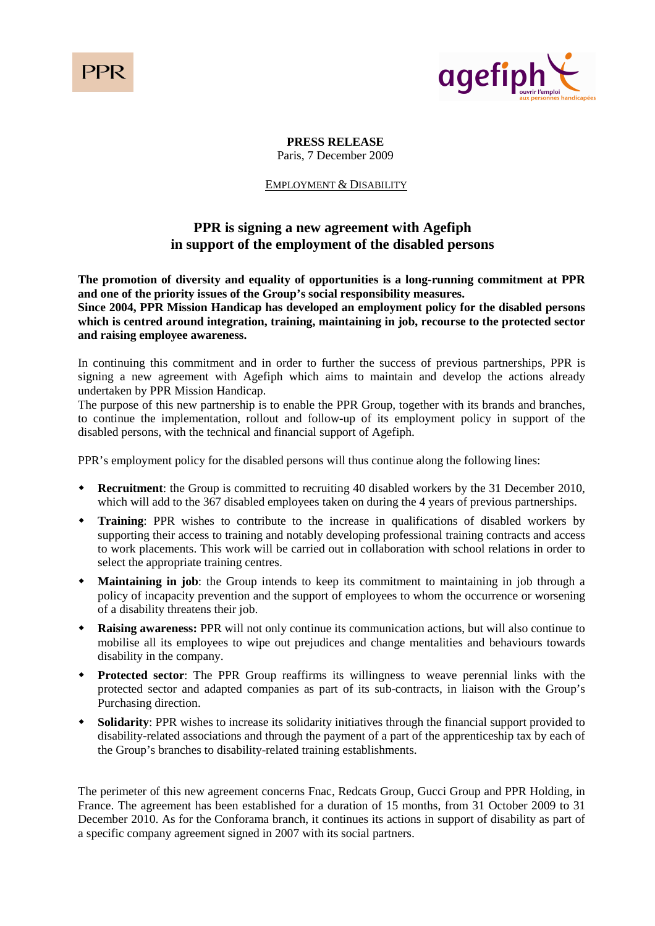PPI



**PRESS RELEASE**  Paris, 7 December 2009

## EMPLOYMENT & DISABILITY

# **PPR is signing a new agreement with Agefiph in support of the employment of the disabled persons**

**The promotion of diversity and equality of opportunities is a long-running commitment at PPR and one of the priority issues of the Group's social responsibility measures.** 

**Since 2004, PPR Mission Handicap has developed an employment policy for the disabled persons which is centred around integration, training, maintaining in job, recourse to the protected sector and raising employee awareness.** 

In continuing this commitment and in order to further the success of previous partnerships, PPR is signing a new agreement with Agefiph which aims to maintain and develop the actions already undertaken by PPR Mission Handicap.

The purpose of this new partnership is to enable the PPR Group, together with its brands and branches, to continue the implementation, rollout and follow-up of its employment policy in support of the disabled persons, with the technical and financial support of Agefiph.

PPR's employment policy for the disabled persons will thus continue along the following lines:

- **Recruitment**: the Group is committed to recruiting 40 disabled workers by the 31 December 2010, which will add to the 367 disabled employees taken on during the 4 years of previous partnerships.
- **Training**: PPR wishes to contribute to the increase in qualifications of disabled workers by supporting their access to training and notably developing professional training contracts and access to work placements. This work will be carried out in collaboration with school relations in order to select the appropriate training centres.
- **Maintaining in job**: the Group intends to keep its commitment to maintaining in job through a policy of incapacity prevention and the support of employees to whom the occurrence or worsening of a disability threatens their job.
- **Raising awareness:** PPR will not only continue its communication actions, but will also continue to mobilise all its employees to wipe out prejudices and change mentalities and behaviours towards disability in the company.
- **Protected sector**: The PPR Group reaffirms its willingness to weave perennial links with the protected sector and adapted companies as part of its sub-contracts, in liaison with the Group's Purchasing direction.
- **Solidarity**: PPR wishes to increase its solidarity initiatives through the financial support provided to disability-related associations and through the payment of a part of the apprenticeship tax by each of the Group's branches to disability-related training establishments.

The perimeter of this new agreement concerns Fnac, Redcats Group, Gucci Group and PPR Holding, in France. The agreement has been established for a duration of 15 months, from 31 October 2009 to 31 December 2010. As for the Conforama branch, it continues its actions in support of disability as part of a specific company agreement signed in 2007 with its social partners.